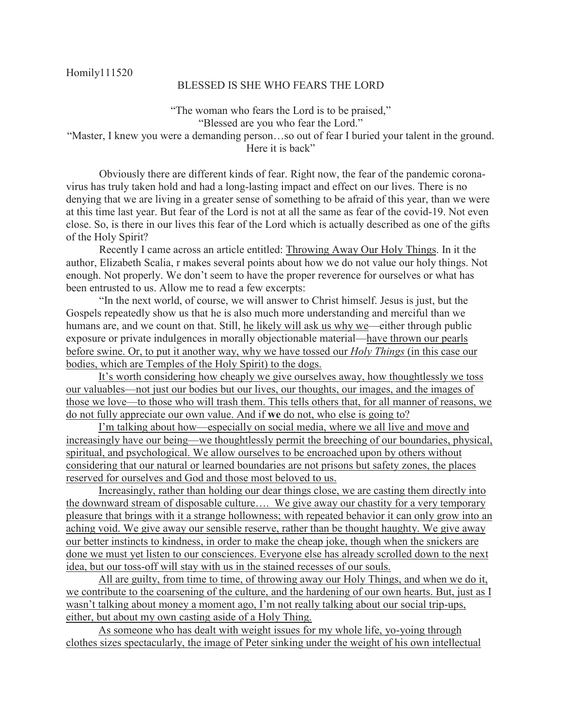## BLESSED IS SHE WHO FEARS THE LORD

"The woman who fears the Lord is to be praised," "Blessed are you who fear the Lord." "Master, I knew you were a demanding person…so out of fear I buried your talent in the ground. Here it is back"

 Obviously there are different kinds of fear. Right now, the fear of the pandemic coronavirus has truly taken hold and had a long-lasting impact and effect on our lives. There is no denying that we are living in a greater sense of something to be afraid of this year, than we were at this time last year. But fear of the Lord is not at all the same as fear of the covid-19. Not even close. So, is there in our lives this fear of the Lord which is actually described as one of the gifts of the Holy Spirit?

 Recently I came across an article entitled: Throwing Away Our Holy Things. In it the author, Elizabeth Scalia, r makes several points about how we do not value our holy things. Not enough. Not properly. We don't seem to have the proper reverence for ourselves or what has been entrusted to us. Allow me to read a few excerpts:

 "In the next world, of course, we will answer to Christ himself. Jesus is just, but the Gospels repeatedly show us that he is also much more understanding and merciful than we humans are, and we count on that. Still, he likely will ask us why we—either through public exposure or private indulgences in morally objectionable material—have thrown our pearls before swine. Or, to put it another way, why we have tossed our *Holy Things* (in this case our bodies, which are Temples of the Holy Spirit) to the dogs.

It's worth considering how cheaply we give ourselves away, how thoughtlessly we toss our valuables—not just our bodies but our lives, our thoughts, our images, and the images of those we love—to those who will trash them. This tells others that, for all manner of reasons, we do not fully appreciate our own value. And if **we** do not, who else is going to?

I'm talking about how—especially on social media, where we all live and move and increasingly have our being—we thoughtlessly permit the breeching of our boundaries, physical, spiritual, and psychological. We allow ourselves to be encroached upon by others without considering that our natural or learned boundaries are not prisons but safety zones, the places reserved for ourselves and God and those most beloved to us.

Increasingly, rather than holding our dear things close, we are casting them directly into the downward stream of disposable culture…. We give away our chastity for a very temporary pleasure that brings with it a strange hollowness; with repeated behavior it can only grow into an aching void. We give away our sensible reserve, rather than be thought haughty. We give away our better instincts to kindness, in order to make the cheap joke, though when the snickers are done we must yet listen to our consciences. Everyone else has already scrolled down to the next idea, but our toss-off will stay with us in the stained recesses of our souls.

All are guilty, from time to time, of throwing away our Holy Things, and when we do it, we contribute to the coarsening of the culture, and the hardening of our own hearts. But, just as I wasn't talking about money a moment ago, I'm not really talking about our social trip-ups, either, but about my own casting aside of a Holy Thing.

As someone who has dealt with weight issues for my whole life, yo-yoing through clothes sizes spectacularly, the image of Peter sinking under the weight of his own intellectual